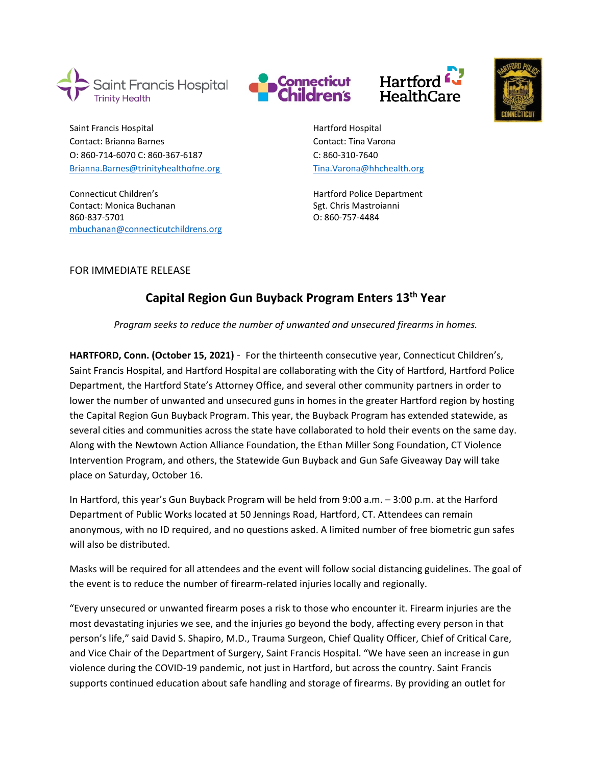







Saint Francis Hospital **Hartford Hospital** Hartford Hospital Contact: Brianna Barnes Contact: Tina Varona O: 860-714-6070 C: 860-367-6187 C: 860-310-7640 [Brianna.Barnes@trinityhealthofne.org](mailto:Brianna.Barnes@trinityhealthofne.org) [Tina.Varona@hhchealth.org](mailto:Tina.Varona@hhchealth.org)

Connecticut Children's **Exercise 2** Connecticut Children's **Hartford Police Department** Contact: Monica Buchanan Sgt. Chris Mastroianni 860-837-5701 O: 860-757-4484 [mbuchanan@connecticutchildrens.org](mailto:mbuchanan@connecticutchildrens.org) 

FOR IMMEDIATE RELEASE

## **Capital Region Gun Buyback Program Enters 13th Year**

*Program seeks to reduce the number of unwanted and unsecured firearms in homes.* 

**HARTFORD, Conn. (October 15, 2021)** - For the thirteenth consecutive year, Connecticut Children's, Saint Francis Hospital, and Hartford Hospital are collaborating with the City of Hartford, Hartford Police Department, the Hartford State's Attorney Office, and several other community partners in order to lower the number of unwanted and unsecured guns in homes in the greater Hartford region by hosting the Capital Region Gun Buyback Program. This year, the Buyback Program has extended statewide, as several cities and communities across the state have collaborated to hold their events on the same day. Along with the Newtown Action Alliance Foundation, the Ethan Miller Song Foundation, CT Violence Intervention Program, and others, the Statewide Gun Buyback and Gun Safe Giveaway Day will take place on Saturday, October 16.

In Hartford, this year's Gun Buyback Program will be held from 9:00 a.m. – 3:00 p.m. at the Harford Department of Public Works located at 50 Jennings Road, Hartford, CT. Attendees can remain anonymous, with no ID required, and no questions asked. A limited number of free biometric gun safes will also be distributed.

Masks will be required for all attendees and the event will follow social distancing guidelines. The goal of the event is to reduce the number of firearm-related injuries locally and regionally.

"Every unsecured or unwanted firearm poses a risk to those who encounter it. Firearm injuries are the most devastating injuries we see, and the injuries go beyond the body, affecting every person in that person's life," said David S. Shapiro, M.D., Trauma Surgeon, Chief Quality Officer, Chief of Critical Care, and Vice Chair of the Department of Surgery, Saint Francis Hospital. "We have seen an increase in gun violence during the COVID-19 pandemic, not just in Hartford, but across the country. Saint Francis supports continued education about safe handling and storage of firearms. By providing an outlet for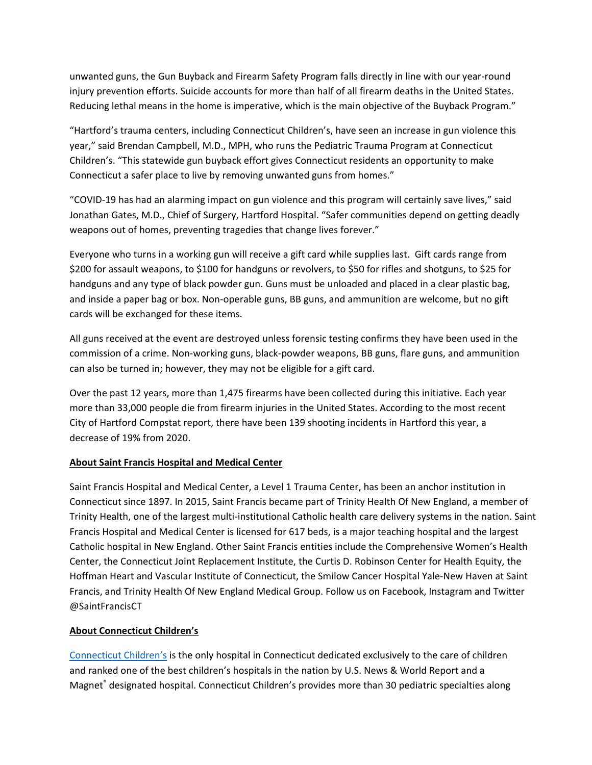unwanted guns, the Gun Buyback and Firearm Safety Program falls directly in line with our year-round injury prevention efforts. Suicide accounts for more than half of all firearm deaths in the United States. Reducing lethal means in the home is imperative, which is the main objective of the Buyback Program."

"Hartford's trauma centers, including Connecticut Children's, have seen an increase in gun violence this year," said Brendan Campbell, M.D., MPH, who runs the Pediatric Trauma Program at Connecticut Children's. "This statewide gun buyback effort gives Connecticut residents an opportunity to make Connecticut a safer place to live by removing unwanted guns from homes."

"COVID-19 has had an alarming impact on gun violence and this program will certainly save lives," said Jonathan Gates, M.D., Chief of Surgery, Hartford Hospital. "Safer communities depend on getting deadly weapons out of homes, preventing tragedies that change lives forever."

Everyone who turns in a working gun will receive a gift card while supplies last. Gift cards range from \$200 for assault weapons, to \$100 for handguns or revolvers, to \$50 for rifles and shotguns, to \$25 for handguns and any type of black powder gun. Guns must be unloaded and placed in a clear plastic bag, and inside a paper bag or box. Non-operable guns, BB guns, and ammunition are welcome, but no gift cards will be exchanged for these items.

All guns received at the event are destroyed unless forensic testing confirms they have been used in the commission of a crime. Non-working guns, black-powder weapons, BB guns, flare guns, and ammunition can also be turned in; however, they may not be eligible for a gift card.

Over the past 12 years, more than 1,475 firearms have been collected during this initiative. Each year more than 33,000 people die from firearm injuries in the United States. According to the most recent City of Hartford Compstat report, there have been 139 shooting incidents in Hartford this year, a decrease of 19% from 2020.

## **About Saint Francis Hospital and Medical Center**

Saint Francis Hospital and Medical Center, a Level 1 Trauma Center, has been an anchor institution in Connecticut since 1897. In 2015, Saint Francis became part of Trinity Health Of New England, a member of Trinity Health, one of the largest multi-institutional Catholic health care delivery systems in the nation. Saint Francis Hospital and Medical Center is licensed for 617 beds, is a major teaching hospital and the largest Catholic hospital in New England. Other Saint Francis entities include the Comprehensive Women's Health Center, the Connecticut Joint Replacement Institute, the Curtis D. Robinson Center for Health Equity, the Hoffman Heart and Vascular Institute of Connecticut, the Smilow Cancer Hospital Yale-New Haven at Saint Francis, and Trinity Health Of New England Medical Group. Follow us on Facebook, Instagram and Twitter @SaintFrancisCT

## **About Connecticut Children's**

[Connecticut Children's](http://www.connecticutchildrens.org/) is the only hospital in Connecticut dedicated exclusively to the care of children and ranked one of the best children's hospitals in the nation by U.S. News & World Report and a Magnet® designated hospital. Connecticut Children's provides more than 30 pediatric specialties along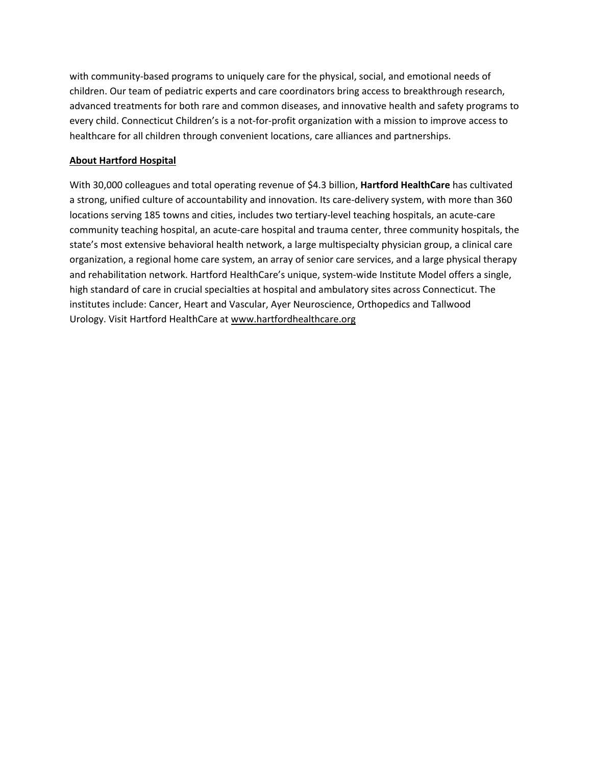with community-based programs to uniquely care for the physical, social, and emotional needs of children. Our team of pediatric experts and care coordinators bring access to breakthrough research, advanced treatments for both rare and common diseases, and innovative health and safety programs to every child. Connecticut Children's is a not-for-profit organization with a mission to improve access to healthcare for all children through convenient locations, care alliances and partnerships.

## **About Hartford Hospital**

With 30,000 colleagues and total operating revenue of \$4.3 billion, **Hartford HealthCare** has cultivated a strong, unified culture of accountability and innovation. Its care-delivery system, with more than 360 locations serving 185 towns and cities, includes two tertiary-level teaching hospitals, an acute-care community teaching hospital, an acute-care hospital and trauma center, three community hospitals, the state's most extensive behavioral health network, a large multispecialty physician group, a clinical care organization, a regional home care system, an array of senior care services, and a large physical therapy and rehabilitation network. Hartford HealthCare's unique, system-wide Institute Model offers a single, high standard of care in crucial specialties at hospital and ambulatory sites across Connecticut. The institutes include: Cancer, Heart and Vascular, Ayer Neuroscience, Orthopedics and Tallwood Urology. Visit Hartford HealthCare at [www.hartfordhealthcare.org](https://urldefense.proofpoint.com/v2/url?u=https-3A__nam02.safelinks.protection.outlook.com_-3Furl-3Dhttp-253A-252F-252Fwww.hartfordhealthcare.org-252F-26data-3D02-257C01-257Cangela.schaeffer-2540trincoll.edu-257Cb94d437ad52c456d862408d6f8a30303-257Ca6cda06a52d94672ae1ff6f9c9f14e37-257C0-257C0-257C636969776378419757-26sdata-3DK600oF2IYY8W8Z-252BaY70t-252FLBoWbMWkJiSI7-252Fu6jH-252BlQw-253D-26reserved-3D0&d=DwMGaQ&c=e_HtEeZEQXP5NUOb33qoTj0AVvRFBS9_rhBTQcfkWoA&r=Dyu3RHVki_vRvhqPqEXrHWfB6bDdEOgQJAcLyq8VRCc&m=ZuFYdZ2VGaqu_JI7w2d1ny6hdW8rhc8gYvG5s1D3cqI&s=fOndjfVxLtgw9vW6oPxBRp-5oaPI7HDWNTJPcI3U7Tg&e=)